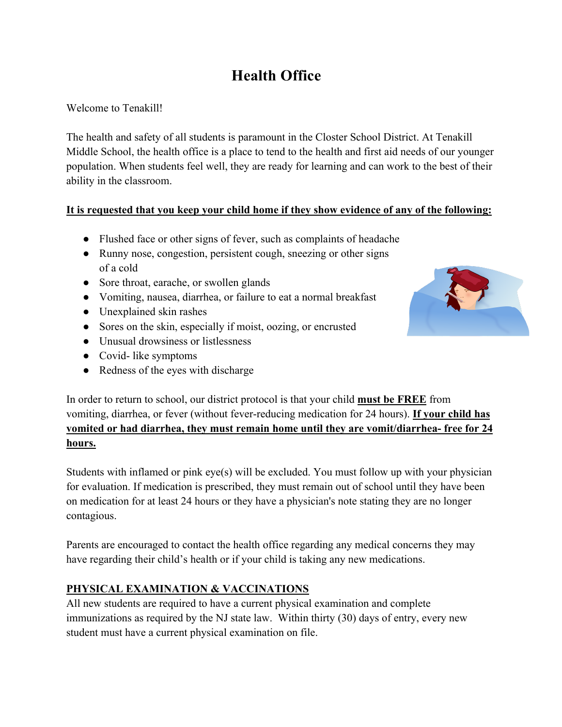# **Health Office**

Welcome to Tenakill!

The health and safety of all students is paramount in the Closter School District. At Tenakill Middle School, the health office is a place to tend to the health and first aid needs of our younger population. When students feel well, they are ready for learning and can work to the best of their ability in the classroom.

## **It is requested that you keep your child home if they show evidence of any of the following:**

- Flushed face or other signs of fever, such as complaints of headache
- Runny nose, congestion, persistent cough, sneezing or other signs of a cold
- Sore throat, earache, or swollen glands
- Vomiting, nausea, diarrhea, or failure to eat a normal breakfast
- Unexplained skin rashes
- Sores on the skin, especially if moist, oozing, or encrusted
- Unusual drowsiness or listlessness
- Covid- like symptoms
- Redness of the eyes with discharge



In order to return to school, our district protocol is that your child **must be FREE** from vomiting, diarrhea, or fever (without fever-reducing medication for 24 hours). **If your child has vomited or had diarrhea, they must remain home until they are vomit/diarrhea- free for 24 hours.**

Students with inflamed or pink eye(s) will be excluded. You must follow up with your physician for evaluation. If medication is prescribed, they must remain out of school until they have been on medication for at least 24 hours or they have a physician's note stating they are no longer contagious.

Parents are encouraged to contact the health office regarding any medical concerns they may have regarding their child's health or if your child is taking any new medications.

## **PHYSICAL EXAMINATION & VACCINATIONS**

All new students are required to have a current physical examination and complete immunizations as required by the NJ state law. Within thirty (30) days of entry, every new student must have a current physical examination on file.